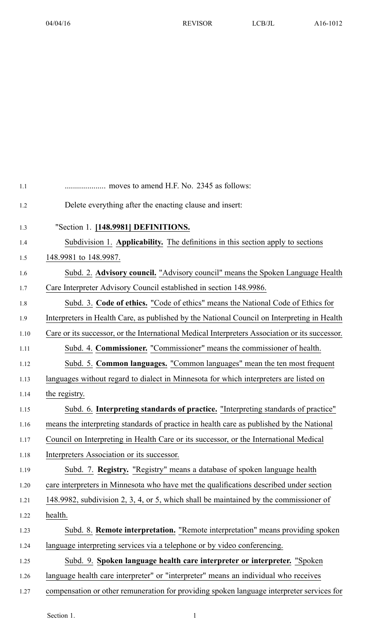| 1.1  |                                                                                                |
|------|------------------------------------------------------------------------------------------------|
| 1.2  | Delete everything after the enacting clause and insert:                                        |
| 1.3  | "Section 1. [148.9981] DEFINITIONS.                                                            |
| 1.4  | Subdivision 1. Applicability. The definitions in this section apply to sections                |
| 1.5  | 148.9981 to 148.9987.                                                                          |
| 1.6  | Subd. 2. Advisory council. "Advisory council" means the Spoken Language Health                 |
| 1.7  | Care Interpreter Advisory Council established in section 148.9986.                             |
| 1.8  | Subd. 3. Code of ethics. "Code of ethics" means the National Code of Ethics for                |
| 1.9  | Interpreters in Health Care, as published by the National Council on Interpreting in Health    |
| 1.10 | Care or its successor, or the International Medical Interpreters Association or its successor. |
| 1.11 | Subd. 4. Commissioner. "Commissioner" means the commissioner of health.                        |
| 1.12 | Subd. 5. Common languages. "Common languages" mean the ten most frequent                       |
| 1.13 | languages without regard to dialect in Minnesota for which interpreters are listed on          |
| 1.14 | the registry.                                                                                  |
| 1.15 | Subd. 6. Interpreting standards of practice. "Interpreting standards of practice"              |
| 1.16 | means the interpreting standards of practice in health care as published by the National       |
| 1.17 | Council on Interpreting in Health Care or its successor, or the International Medical          |
| 1.18 | Interpreters Association or its successor.                                                     |
| 1.19 | Subd. 7. Registry. "Registry" means a database of spoken language health                       |
| 1.20 | care interpreters in Minnesota who have met the qualifications described under section         |
| 1.21 | 148.9982, subdivision 2, 3, 4, or 5, which shall be maintained by the commissioner of          |
| 1.22 | health.                                                                                        |
| 1.23 | Subd. 8. Remote interpretation. "Remote interpretation" means providing spoken                 |
| 1.24 | language interpreting services via a telephone or by video conferencing.                       |
| 1.25 | Subd. 9. Spoken language health care interpreter or interpreter. "Spoken                       |
| 1.26 | language health care interpreter" or "interpreter" means an individual who receives            |
| 1.27 | compensation or other remuneration for providing spoken language interpreter services for      |

Section 1. 1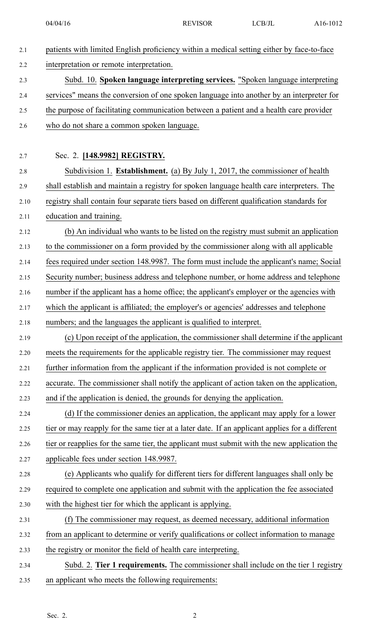| 2.1  | patients with limited English proficiency within a medical setting either by face-to-face      |
|------|------------------------------------------------------------------------------------------------|
| 2.2  | interpretation or remote interpretation.                                                       |
| 2.3  | Subd. 10. Spoken language interpreting services. "Spoken language interpreting                 |
| 2.4  | services" means the conversion of one spoken language into another by an interpreter for       |
| 2.5  | the purpose of facilitating communication between a patient and a health care provider         |
| 2.6  | who do not share a common spoken language.                                                     |
|      |                                                                                                |
| 2.7  | Sec. 2. [148.9982] REGISTRY.                                                                   |
| 2.8  | Subdivision 1. Establishment. (a) By July 1, 2017, the commissioner of health                  |
| 2.9  | shall establish and maintain a registry for spoken language health care interpreters. The      |
| 2.10 | registry shall contain four separate tiers based on different qualification standards for      |
| 2.11 | education and training.                                                                        |
| 2.12 | (b) An individual who wants to be listed on the registry must submit an application            |
| 2.13 | to the commissioner on a form provided by the commissioner along with all applicable           |
| 2.14 | fees required under section 148.9987. The form must include the applicant's name; Social       |
| 2.15 | Security number; business address and telephone number, or home address and telephone          |
| 2.16 | number if the applicant has a home office; the applicant's employer or the agencies with       |
| 2.17 | which the applicant is affiliated; the employer's or agencies' addresses and telephone         |
| 2.18 | numbers; and the languages the applicant is qualified to interpret.                            |
| 2.19 | (c) Upon receipt of the application, the commissioner shall determine if the applicant         |
| 2.20 | meets the requirements for the applicable registry tier. The commissioner may request          |
| 2.21 | further information from the applicant if the information provided is not complete or          |
| 2.22 | accurate. The commissioner shall notify the applicant of action taken on the application,      |
| 2.23 | and if the application is denied, the grounds for denying the application.                     |
| 2.24 | (d) If the commissioner denies an application, the applicant may apply for a lower             |
| 2.25 | tier or may reapply for the same tier at a later date. If an applicant applies for a different |
| 2.26 | tier or reapplies for the same tier, the applicant must submit with the new application the    |
| 2.27 | applicable fees under section 148.9987.                                                        |
| 2.28 | (e) Applicants who qualify for different tiers for different languages shall only be           |
| 2.29 | required to complete one application and submit with the application the fee associated        |
| 2.30 | with the highest tier for which the applicant is applying.                                     |
| 2.31 | (f) The commissioner may request, as deemed necessary, additional information                  |
| 2.32 | from an applicant to determine or verify qualifications or collect information to manage       |
| 2.33 | the registry or monitor the field of health care interpreting.                                 |
| 2.34 | Subd. 2. Tier 1 requirements. The commissioner shall include on the tier 1 registry            |
| 2.35 | an applicant who meets the following requirements:                                             |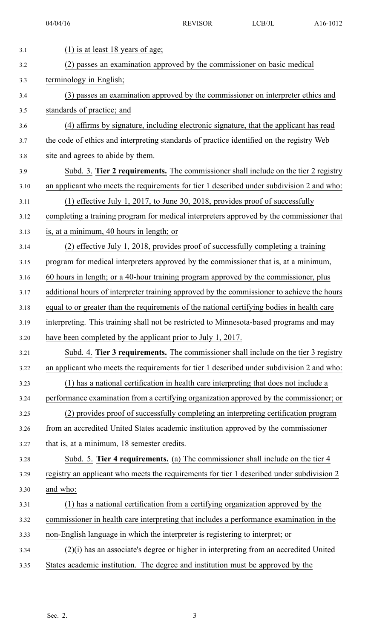| 3.1  | $(1)$ is at least 18 years of age;                                                         |
|------|--------------------------------------------------------------------------------------------|
| 3.2  | (2) passes an examination approved by the commissioner on basic medical                    |
| 3.3  | terminology in English;                                                                    |
| 3.4  | (3) passes an examination approved by the commissioner on interpreter ethics and           |
| 3.5  | standards of practice; and                                                                 |
| 3.6  | (4) affirms by signature, including electronic signature, that the applicant has read      |
| 3.7  | the code of ethics and interpreting standards of practice identified on the registry Web   |
| 3.8  | site and agrees to abide by them.                                                          |
| 3.9  | Subd. 3. Tier 2 requirements. The commissioner shall include on the tier 2 registry        |
| 3.10 | an applicant who meets the requirements for tier 1 described under subdivision 2 and who:  |
| 3.11 | $(1)$ effective July 1, 2017, to June 30, 2018, provides proof of successfully             |
| 3.12 | completing a training program for medical interpreters approved by the commissioner that   |
| 3.13 | is, at a minimum, 40 hours in length; or                                                   |
| 3.14 | (2) effective July 1, 2018, provides proof of successfully completing a training           |
| 3.15 | program for medical interpreters approved by the commissioner that is, at a minimum,       |
| 3.16 | 60 hours in length; or a 40-hour training program approved by the commissioner, plus       |
| 3.17 | additional hours of interpreter training approved by the commissioner to achieve the hours |
| 3.18 | equal to or greater than the requirements of the national certifying bodies in health care |
| 3.19 | interpreting. This training shall not be restricted to Minnesota-based programs and may    |
| 3.20 | have been completed by the applicant prior to July 1, 2017.                                |
| 3.21 | Subd. 4. Tier 3 requirements. The commissioner shall include on the tier 3 registry        |
| 3.22 | an applicant who meets the requirements for tier 1 described under subdivision 2 and who:  |
| 3.23 | (1) has a national certification in health care interpreting that does not include a       |
| 3.24 | performance examination from a certifying organization approved by the commissioner; or    |
| 3.25 | (2) provides proof of successfully completing an interpreting certification program        |
| 3.26 | from an accredited United States academic institution approved by the commissioner         |
| 3.27 | that is, at a minimum, 18 semester credits.                                                |
| 3.28 | Subd. 5. Tier 4 requirements. (a) The commissioner shall include on the tier 4             |
| 3.29 | registry an applicant who meets the requirements for tier 1 described under subdivision 2  |
| 3.30 | and who:                                                                                   |
| 3.31 | (1) has a national certification from a certifying organization approved by the            |
| 3.32 | commissioner in health care interpreting that includes a performance examination in the    |
| 3.33 | non-English language in which the interpreter is registering to interpret; or              |
| 3.34 | $(2)(i)$ has an associate's degree or higher in interpreting from an accredited United     |
| 3.35 | States academic institution. The degree and institution must be approved by the            |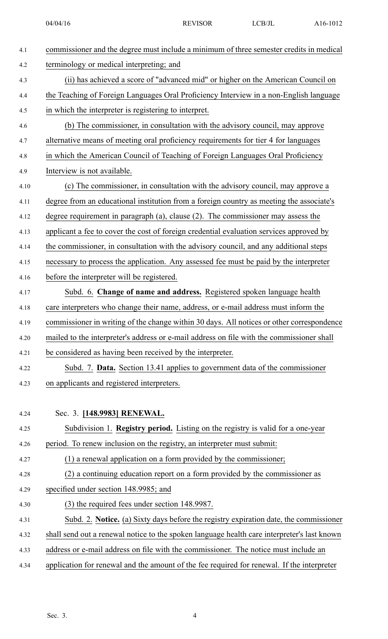| 4.1  | commissioner and the degree must include a minimum of three semester credits in medical     |
|------|---------------------------------------------------------------------------------------------|
| 4.2  | terminology or medical interpreting; and                                                    |
| 4.3  | (ii) has achieved a score of "advanced mid" or higher on the American Council on            |
| 4.4  | the Teaching of Foreign Languages Oral Proficiency Interview in a non-English language      |
| 4.5  | in which the interpreter is registering to interpret.                                       |
| 4.6  | (b) The commissioner, in consultation with the advisory council, may approve                |
| 4.7  | alternative means of meeting oral proficiency requirements for tier 4 for languages         |
| 4.8  | in which the American Council of Teaching of Foreign Languages Oral Proficiency             |
| 4.9  | Interview is not available.                                                                 |
| 4.10 | (c) The commissioner, in consultation with the advisory council, may approve a              |
| 4.11 | degree from an educational institution from a foreign country as meeting the associate's    |
| 4.12 | degree requirement in paragraph $(a)$ , clause $(2)$ . The commissioner may assess the      |
| 4.13 | applicant a fee to cover the cost of foreign credential evaluation services approved by     |
| 4.14 | the commissioner, in consultation with the advisory council, and any additional steps       |
| 4.15 | necessary to process the application. Any assessed fee must be paid by the interpreter      |
| 4.16 | before the interpreter will be registered.                                                  |
| 4.17 | Subd. 6. Change of name and address. Registered spoken language health                      |
| 4.18 | care interpreters who change their name, address, or e-mail address must inform the         |
| 4.19 | commissioner in writing of the change within 30 days. All notices or other correspondence   |
| 4.20 | mailed to the interpreter's address or e-mail address on file with the commissioner shall   |
| 4.21 | be considered as having been received by the interpreter.                                   |
| 4.22 | Subd. 7. Data. Section 13.41 applies to government data of the commissioner                 |
| 4.23 | on applicants and registered interpreters.                                                  |
|      |                                                                                             |
| 4.24 | Sec. 3. [148.9983] RENEWAL.                                                                 |
| 4.25 | Subdivision 1. Registry period. Listing on the registry is valid for a one-year             |
| 4.26 | period. To renew inclusion on the registry, an interpreter must submit:                     |
| 4.27 | (1) a renewal application on a form provided by the commissioner;                           |
| 4.28 | (2) a continuing education report on a form provided by the commissioner as                 |
| 4.29 | specified under section 148.9985; and                                                       |
| 4.30 | (3) the required fees under section 148.9987.                                               |
| 4.31 | Subd. 2. Notice. (a) Sixty days before the registry expiration date, the commissioner       |
| 4.32 | shall send out a renewal notice to the spoken language health care interpreter's last known |
| 4.33 | address or e-mail address on file with the commissioner. The notice must include an         |
|      |                                                                                             |

4.34 application for renewal and the amount of the fee required for renewal. If the interpreter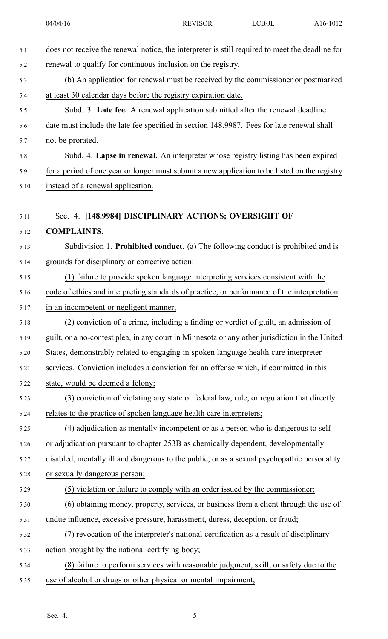| 5.1  | does not receive the renewal notice, the interpreter is still required to meet the deadline for |
|------|-------------------------------------------------------------------------------------------------|
| 5.2  | renewal to qualify for continuous inclusion on the registry.                                    |
| 5.3  | (b) An application for renewal must be received by the commissioner or postmarked               |
| 5.4  | at least 30 calendar days before the registry expiration date.                                  |
| 5.5  | Subd. 3. Late fee. A renewal application submitted after the renewal deadline                   |
| 5.6  | date must include the late fee specified in section 148.9987. Fees for late renewal shall       |
| 5.7  | not be prorated.                                                                                |
| 5.8  | Subd. 4. Lapse in renewal. An interpreter whose registry listing has been expired               |
| 5.9  | for a period of one year or longer must submit a new application to be listed on the registry   |
| 5.10 | instead of a renewal application.                                                               |
|      |                                                                                                 |
| 5.11 | Sec. 4. [148.9984] DISCIPLINARY ACTIONS; OVERSIGHT OF                                           |
| 5.12 | <b>COMPLAINTS.</b>                                                                              |
| 5.13 | Subdivision 1. Prohibited conduct. (a) The following conduct is prohibited and is               |
| 5.14 | grounds for disciplinary or corrective action:                                                  |
| 5.15 | (1) failure to provide spoken language interpreting services consistent with the                |
| 5.16 | code of ethics and interpreting standards of practice, or performance of the interpretation     |
| 5.17 | in an incompetent or negligent manner;                                                          |
| 5.18 | (2) conviction of a crime, including a finding or verdict of guilt, an admission of             |
| 5.19 | guilt, or a no-contest plea, in any court in Minnesota or any other jurisdiction in the United  |
| 5.20 | States, demonstrably related to engaging in spoken language health care interpreter             |
| 5.21 | services. Conviction includes a conviction for an offense which, if committed in this           |
| 5.22 | state, would be deemed a felony;                                                                |
| 5.23 | (3) conviction of violating any state or federal law, rule, or regulation that directly         |
| 5.24 | relates to the practice of spoken language health care interpreters;                            |
| 5.25 | (4) adjudication as mentally incompetent or as a person who is dangerous to self                |
| 5.26 | or adjudication pursuant to chapter 253B as chemically dependent, developmentally               |
| 5.27 | disabled, mentally ill and dangerous to the public, or as a sexual psychopathic personality     |
| 5.28 | or sexually dangerous person;                                                                   |
| 5.29 | (5) violation or failure to comply with an order issued by the commissioner;                    |
| 5.30 | (6) obtaining money, property, services, or business from a client through the use of           |
| 5.31 | undue influence, excessive pressure, harassment, duress, deception, or fraud;                   |
| 5.32 | (7) revocation of the interpreter's national certification as a result of disciplinary          |
| 5.33 | action brought by the national certifying body;                                                 |
| 5.34 | (8) failure to perform services with reasonable judgment, skill, or safety due to the           |
| 5.35 | use of alcohol or drugs or other physical or mental impairment;                                 |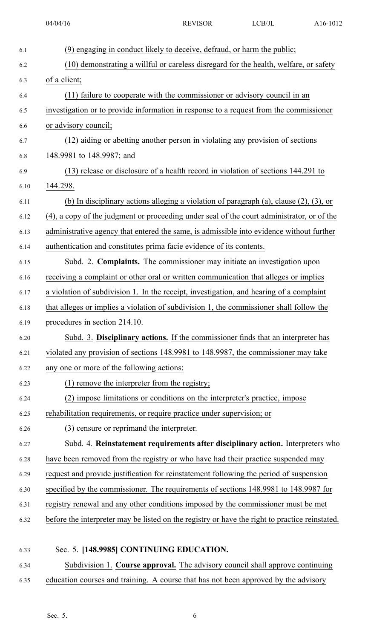| 6.1  | (9) engaging in conduct likely to deceive, defraud, or harm the public;                        |
|------|------------------------------------------------------------------------------------------------|
| 6.2  | (10) demonstrating a willful or careless disregard for the health, welfare, or safety          |
| 6.3  | of a client;                                                                                   |
| 6.4  | (11) failure to cooperate with the commissioner or advisory council in an                      |
| 6.5  | investigation or to provide information in response to a request from the commissioner         |
| 6.6  | or advisory council;                                                                           |
| 6.7  | (12) aiding or abetting another person in violating any provision of sections                  |
| 6.8  | 148.9981 to 148.9987; and                                                                      |
| 6.9  | (13) release or disclosure of a health record in violation of sections 144.291 to              |
| 6.10 | 144.298.                                                                                       |
| 6.11 | (b) In disciplinary actions alleging a violation of paragraph (a), clause $(2)$ , $(3)$ , or   |
| 6.12 | (4), a copy of the judgment or proceeding under seal of the court administrator, or of the     |
| 6.13 | administrative agency that entered the same, is admissible into evidence without further       |
| 6.14 | authentication and constitutes prima facie evidence of its contents.                           |
| 6.15 | Subd. 2. Complaints. The commissioner may initiate an investigation upon                       |
| 6.16 | receiving a complaint or other oral or written communication that alleges or implies           |
| 6.17 | a violation of subdivision 1. In the receipt, investigation, and hearing of a complaint        |
| 6.18 | that alleges or implies a violation of subdivision 1, the commissioner shall follow the        |
| 6.19 | procedures in section 214.10.                                                                  |
| 6.20 | Subd. 3. Disciplinary actions. If the commissioner finds that an interpreter has               |
| 6.21 | violated any provision of sections 148.9981 to 148.9987, the commissioner may take             |
| 6.22 | any one or more of the following actions:                                                      |
| 6.23 | (1) remove the interpreter from the registry;                                                  |
| 6.24 | (2) impose limitations or conditions on the interpreter's practice, impose                     |
| 6.25 | rehabilitation requirements, or require practice under supervision; or                         |
| 6.26 | (3) censure or reprimand the interpreter.                                                      |
| 6.27 | Subd. 4. Reinstatement requirements after disciplinary action. Interpreters who                |
| 6.28 | have been removed from the registry or who have had their practice suspended may               |
| 6.29 | request and provide justification for reinstatement following the period of suspension         |
| 6.30 | specified by the commissioner. The requirements of sections 148.9981 to 148.9987 for           |
| 6.31 | registry renewal and any other conditions imposed by the commissioner must be met              |
| 6.32 | before the interpreter may be listed on the registry or have the right to practice reinstated. |
|      |                                                                                                |
| 6.33 | Sec. 5. [148.9985] CONTINUING EDUCATION.                                                       |
|      |                                                                                                |

6.34 Subdivision 1. **Course approval.** The advisory council shall approve continuing 6.35 education courses and training. A course that has not been approved by the advisory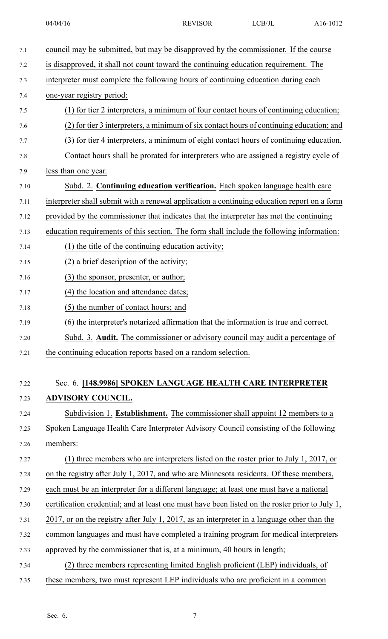| 7.1  | council may be submitted, but may be disapproved by the commissioner. If the course             |
|------|-------------------------------------------------------------------------------------------------|
| 7.2  | is disapproved, it shall not count toward the continuing education requirement. The             |
| 7.3  | interpreter must complete the following hours of continuing education during each               |
| 7.4  | one-year registry period:                                                                       |
| 7.5  | (1) for tier 2 interpreters, a minimum of four contact hours of continuing education;           |
| 7.6  | (2) for tier 3 interpreters, a minimum of six contact hours of continuing education; and        |
| 7.7  | (3) for tier 4 interpreters, a minimum of eight contact hours of continuing education.          |
| 7.8  | Contact hours shall be prorated for interpreters who are assigned a registry cycle of           |
| 7.9  | less than one year.                                                                             |
| 7.10 | Subd. 2. Continuing education verification. Each spoken language health care                    |
| 7.11 | interpreter shall submit with a renewal application a continuing education report on a form     |
| 7.12 | provided by the commissioner that indicates that the interpreter has met the continuing         |
| 7.13 | education requirements of this section. The form shall include the following information:       |
| 7.14 | (1) the title of the continuing education activity;                                             |
| 7.15 | (2) a brief description of the activity;                                                        |
| 7.16 | (3) the sponsor, presenter, or author;                                                          |
| 7.17 | (4) the location and attendance dates;                                                          |
| 7.18 | (5) the number of contact hours; and                                                            |
| 7.19 | (6) the interpreter's notarized affirmation that the information is true and correct.           |
| 7.20 | Subd. 3. Audit. The commissioner or advisory council may audit a percentage of                  |
| 7.21 | the continuing education reports based on a random selection.                                   |
|      |                                                                                                 |
| 7.22 | Sec. 6. [148.9986] SPOKEN LANGUAGE HEALTH CARE INTERPRETER                                      |
| 7.23 | <b>ADVISORY COUNCIL.</b>                                                                        |
| 7.24 | Subdivision 1. Establishment. The commissioner shall appoint 12 members to a                    |
| 7.25 | Spoken Language Health Care Interpreter Advisory Council consisting of the following            |
| 7.26 | members:                                                                                        |
| 7.27 | (1) three members who are interpreters listed on the roster prior to July 1, 2017, or           |
| 7.28 | on the registry after July 1, 2017, and who are Minnesota residents. Of these members,          |
| 7.29 | each must be an interpreter for a different language; at least one must have a national         |
| 7.30 | certification credential; and at least one must have been listed on the roster prior to July 1, |
| 7.31 | 2017, or on the registry after July 1, 2017, as an interpreter in a language other than the     |
| 7.32 | common languages and must have completed a training program for medical interpreters            |
| 7.33 | approved by the commissioner that is, at a minimum, 40 hours in length;                         |
| 7.34 | (2) three members representing limited English proficient (LEP) individuals, of                 |
| 7.35 | these members, two must represent LEP individuals who are proficient in a common                |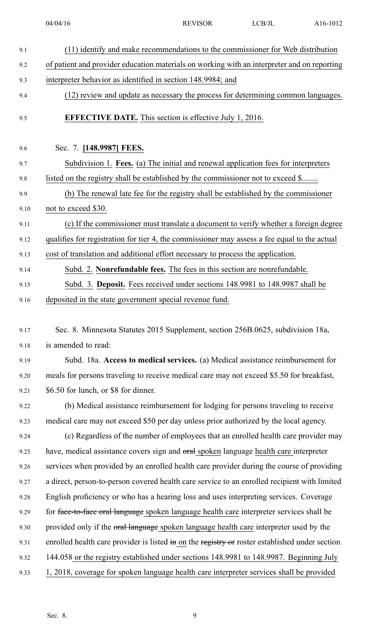| 9.1  | (11) identify and make recommendations to the commissioner for Web distribution                |
|------|------------------------------------------------------------------------------------------------|
| 9.2  | of patient and provider education materials on working with an interpreter and on reporting    |
| 9.3  | interpreter behavior as identified in section 148.9984; and                                    |
| 9.4  | (12) review and update as necessary the process for determining common languages.              |
| 9.5  | <b>EFFECTIVE DATE.</b> This section is effective July 1, 2016.                                 |
| 9.6  | Sec. 7. [148.9987] FEES.                                                                       |
| 9.7  | Subdivision 1. Fees. (a) The initial and renewal application fees for interpreters             |
| 9.8  | listed on the registry shall be established by the commissioner not to exceed \$               |
| 9.9  | (b) The renewal late fee for the registry shall be established by the commissioner             |
| 9.10 | not to exceed \$30.                                                                            |
| 9.11 | (c) If the commissioner must translate a document to verify whether a foreign degree           |
| 9.12 | qualifies for registration for tier 4, the commissioner may assess a fee equal to the actual   |
| 9.13 | cost of translation and additional effort necessary to process the application.                |
| 9.14 | Subd. 2. Nonrefundable fees. The fees in this section are nonrefundable.                       |
| 9.15 | Subd. 3. Deposit. Fees received under sections 148.9981 to 148.9987 shall be                   |
| 9.16 | deposited in the state government special revenue fund.                                        |
|      |                                                                                                |
| 9.17 | Sec. 8. Minnesota Statutes 2015 Supplement, section 256B.0625, subdivision 18a,                |
| 9.18 | is amended to read:                                                                            |
| 9.19 | Subd. 18a. Access to medical services. (a) Medical assistance reimbursement for                |
| 9.20 | meals for persons traveling to receive medical care may not exceed \$5.50 for breakfast,       |
| 9.21 | \$6.50 for lunch, or \$8 for dinner.                                                           |
| 9.22 | (b) Medical assistance reimbursement for lodging for persons traveling to receive              |
| 9.23 | medical care may not exceed \$50 per day unless prior authorized by the local agency.          |
| 9.24 | (c) Regardless of the number of employees that an enrolled health care provider may            |
| 9.25 |                                                                                                |
|      | have, medical assistance covers sign and oral spoken language health care interpreter          |
| 9.26 | services when provided by an enrolled health care provider during the course of providing      |
| 9.27 | a direct, person-to-person covered health care service to an enrolled recipient with limited   |
| 9.28 | English proficiency or who has a hearing loss and uses interpreting services. Coverage         |
| 9.29 | for face-to-face oral language spoken language health care interpreter services shall be       |
| 9.30 | provided only if the oral language spoken language health care interpreter used by the         |
| 9.31 | enrolled health care provider is listed in on the registry or roster established under section |
| 9.32 | 144.058 or the registry established under sections 148.9981 to 148.9987. Beginning July        |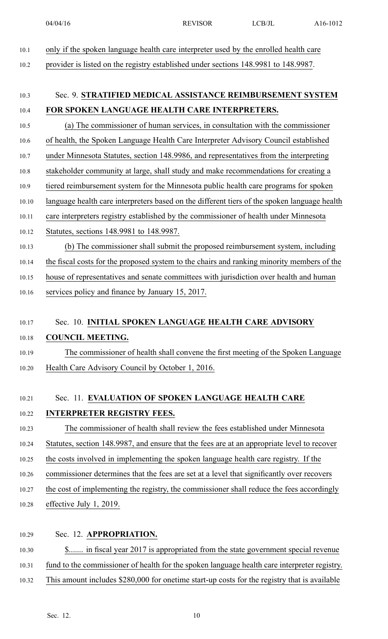10.1 only if the spoken language health care interpreter used by the enrolled health care

10.2 provider is listed on the registry established under sections 148.9981 to 148.9987.

# 10.3 Sec. 9. **STRATIFIED MEDICAL ASSISTANCE REIMBURSEMENT SYSTEM** 10.4 **FOR SPOKEN LANGUAGE HEALTH CARE INTERPRETERS.**

10.5 (a) The commissioner of human services, in consultation with the commissioner

10.6 of health, the Spoken Language Health Care Interpreter Advisory Council established

- 10.7 under Minnesota Statutes, section 148.9986, and representatives from the interpreting
- 10.8 stakeholder community at large, shall study and make recommendations for creating <sup>a</sup>
- 10.9 tiered reimbursement system for the Minnesota public health care programs for spoken
- 10.10 language health care interpreters based on the different tiers of the spoken language health
- 10.11 care interpreters registry established by the commissioner of health under Minnesota
- 10.12 Statutes, sections 148.9981 to 148.9987.
- 10.13 (b) The commissioner shall submit the proposed reimbursement system, including

10.14 the fiscal costs for the proposed system to the chairs and ranking minority members of the

10.15 house of representatives and senate committees with jurisdiction over health and human

10.16 services policy and finance by January 15, 2017.

### 10.17 Sec. 10. **INITIAL SPOKEN LANGUAGE HEALTH CARE ADVISORY**

### 10.18 **COUNCIL MEETING.**

10.19 The commissioner of health shall convene the first meeting of the Spoken Language 10.20 Health Care Advisory Council by October 1, 2016.

## 10.21 Sec. 11. **EVALUATION OF SPOKEN LANGUAGE HEALTH CARE**

### 10.22 **INTERPRETER REGISTRY FEES.**

- 10.23 The commissioner of health shall review the fees established under Minnesota
- 10.24 Statutes, section 148.9987, and ensure that the fees are at an appropriate level to recover
- 10.25 the costs involved in implementing the spoken language health care registry. If the
- 10.26 commissioner determines that the fees are set at <sup>a</sup> level that significantly over recovers
- 10.27 the cost of implementing the registry, the commissioner shall reduce the fees accordingly
- 10.28 effective July 1, 2019.
- 10.29 Sec. 12. **APPROPRIATION.**

10.30 \$....... in fiscal year 2017 is appropriated from the state governmen<sup>t</sup> special revenue

- 10.31 fund to the commissioner of health for the spoken language health care interpreter registry.
- 10.32 This amount includes \$280,000 for onetime start-up costs for the registry that is available